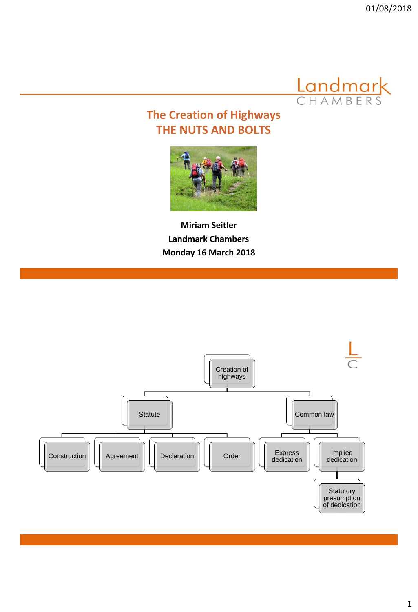

# **The Creation of Highways THE NUTS AND BOLTS**



**Miriam Seitler Landmark Chambers Monday 16 March 2018** 

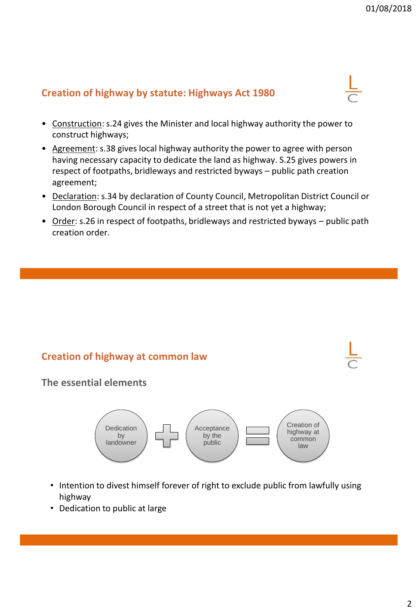#### **Creation of highway by statute: Highways Act 1980**

- Construction: s.24 gives the Minister and local highway authority the power to construct highways;
- Agreement: s.38 gives local highway authority the power to agree with person having necessary capacity to dedicate the land as highway. S.25 gives powers in respect of footpaths, bridleways and restricted byways – public path creation agreement;
- Declaration: s.34 by declaration of County Council, Metropolitan District Council or London Borough Council in respect of a street that is not yet a highway;
- Order: s.26 in respect of footpaths, bridleways and restricted byways public path creation order.

#### **Creation of highway at common law**

**The essential elements** 



- Intention to divest himself forever of right to exclude public from lawfully using highway
- Dedication to public at large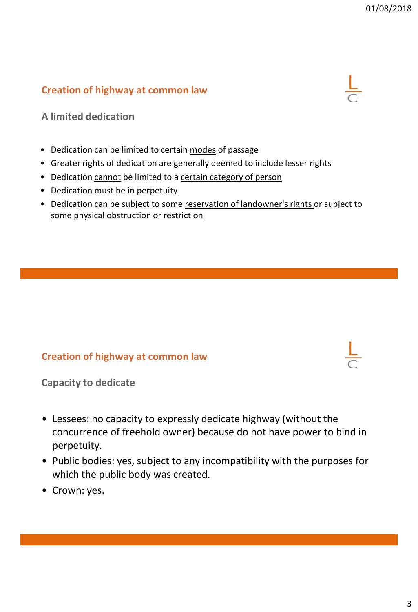

**A limited dedication**

- Dedication can be limited to certain modes of passage
- Greater rights of dedication are generally deemed to include lesser rights
- Dedication cannot be limited to a certain category of person
- Dedication must be in perpetuity
- Dedication can be subject to some reservation of landowner's rights or subject to some physical obstruction or restriction

#### **Creation of highway at common law**

**Capacity to dedicate**

- Lessees: no capacity to expressly dedicate highway (without the concurrence of freehold owner) because do not have power to bind in perpetuity.
- Public bodies: yes, subject to any incompatibility with the purposes for which the public body was created.
- Crown: yes.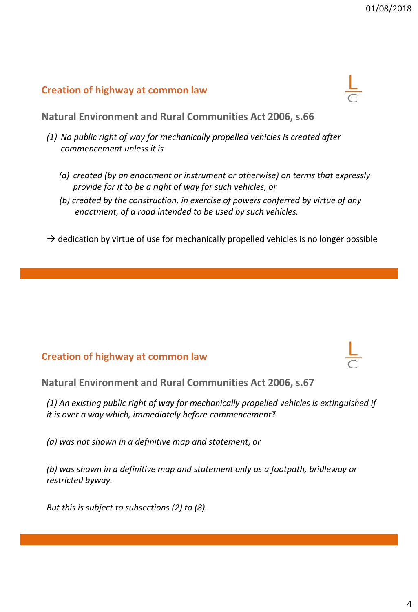**Natural Environment and Rural Communities Act 2006, s.66**

- *(1) No public right of way for mechanically propelled vehicles is created after commencement unless it is*
	- *(a) created (by an enactment or instrument or otherwise) on terms that expressly provide for it to be a right of way for such vehicles, or*
	- *(b) created by the construction, in exercise of powers conferred by virtue of any enactment, of a road intended to be used by such vehicles.*
- $\rightarrow$  dedication by virtue of use for mechanically propelled vehicles is no longer possible

#### **Creation of highway at common law**

**Natural Environment and Rural Communities Act 2006, s.67**

*(1) An existing public right of way for mechanically propelled vehicles is extinguished if it is over a way which, immediately before commencement–*

*(a) was not shown in a definitive map and statement, or*

*(b) was shown in a definitive map and statement only as a footpath, bridleway or restricted byway.*

*But this is subject to subsections (2) to (8).*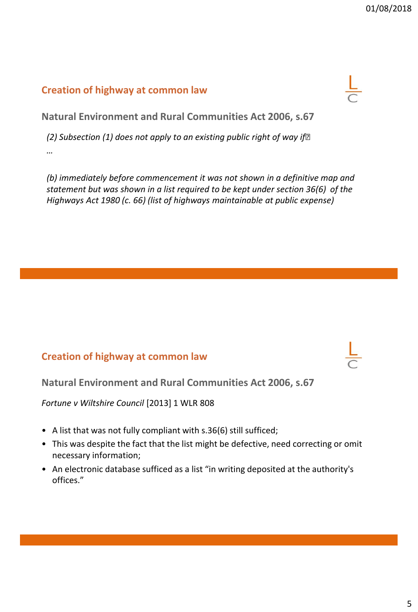

**Natural Environment and Rural Communities Act 2006, s.67**

*(2) Subsection (1) does not apply to an existing public right of way if– …*

*(b) immediately before commencement it was not shown in a definitive map and statement but was shown in a list required to be kept under section 36(6) of the Highways Act 1980 (c. 66) (list of highways maintainable at public expense)*

#### **Creation of highway at common law**

**Natural Environment and Rural Communities Act 2006, s.67**

*Fortune v Wiltshire Council* [2013] 1 WLR 808

- A list that was not fully compliant with s.36(6) still sufficed;
- This was despite the fact that the list might be defective, need correcting or omit necessary information;
- An electronic database sufficed as a list "in writing deposited at the authority's offices."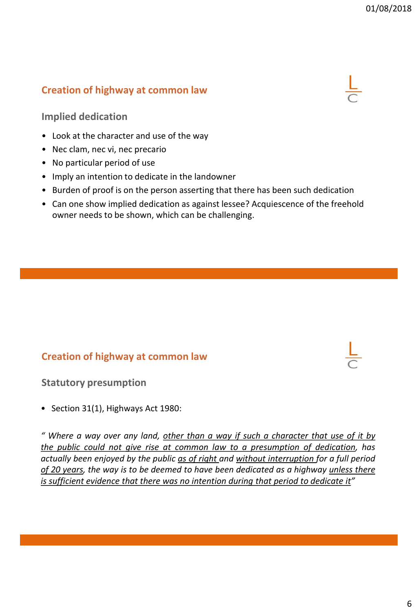

- Look at the character and use of the way
- Nec clam, nec vi, nec precario
- No particular period of use
- Imply an intention to dedicate in the landowner
- Burden of proof is on the person asserting that there has been such dedication
- Can one show implied dedication as against lessee? Acquiescence of the freehold owner needs to be shown, which can be challenging.

#### **Creation of highway at common law**

**Statutory presumption**

• Section 31(1), Highways Act 1980:

*" Where a way over any land, other than a way if such a character that use of it by the public could not give rise at common law to a presumption of dedication, has actually been enjoyed by the public as of right and without interruption for a full period of 20 years, the way is to be deemed to have been dedicated as a highway unless there is sufficient evidence that there was no intention during that period to dedicate it"*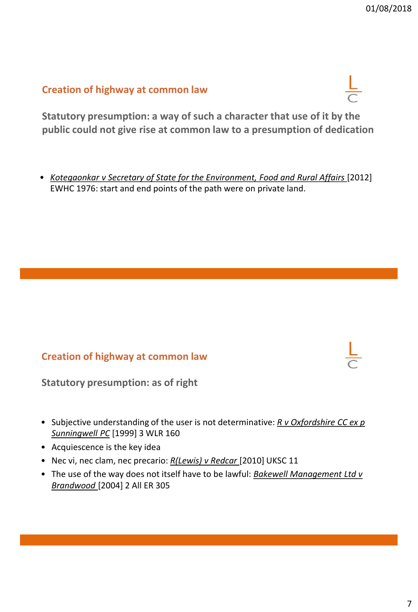**Statutory presumption: a way of such a character that use of it by the public could not give rise at common law to a presumption of dedication**

• *Kotegaonkar v Secretary of State for the Environment, Food and Rural Affairs* [2012] EWHC 1976: start and end points of the path were on private land.

#### **Creation of highway at common law**

**Statutory presumption: as of right**

- Subjective understanding of the user is not determinative: *R v Oxfordshire CC ex p Sunningwell PC* [1999] 3 WLR 160
- Acquiescence is the key idea
- Nec vi, nec clam, nec precario: *R(Lewis) v Redcar* [2010] UKSC 11
- The use of the way does not itself have to be lawful: *Bakewell Management Ltd v Brandwood* [2004] 2 All ER 305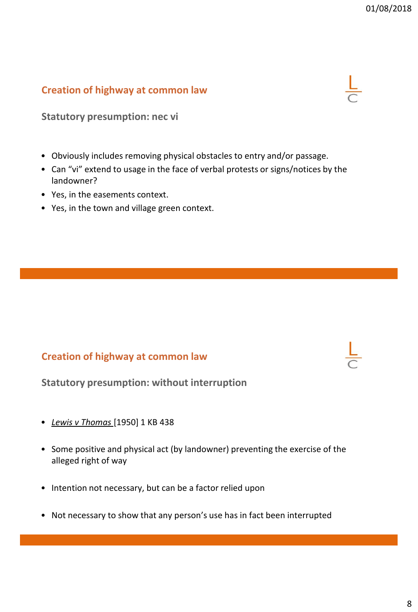**Statutory presumption: nec vi**

- Obviously includes removing physical obstacles to entry and/or passage.
- Can "vi" extend to usage in the face of verbal protests or signs/notices by the landowner?
- Yes, in the easements context.
- Yes, in the town and village green context.

## **Creation of highway at common law**



- *Lewis v Thomas* [1950] 1 KB 438
- Some positive and physical act (by landowner) preventing the exercise of the alleged right of way
- Intention not necessary, but can be a factor relied upon
- Not necessary to show that any person's use has in fact been interrupted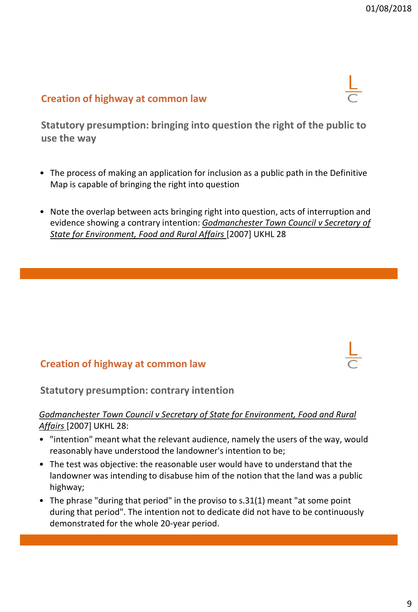**Statutory presumption: bringing into question the right of the public to use the way**

- The process of making an application for inclusion as a public path in the Definitive Map is capable of bringing the right into question
- Note the overlap between acts bringing right into question, acts of interruption and evidence showing a contrary intention: *Godmanchester Town Council v Secretary of State for Environment, Food and Rural Affairs* [2007] UKHL 28

#### **Creation of highway at common law**

**Statutory presumption: contrary intention**

#### *Godmanchester Town Council v Secretary of State for Environment, Food and Rural Affairs* [2007] UKHL 28:

- "intention" meant what the relevant audience, namely the users of the way, would reasonably have understood the landowner's intention to be;
- The test was objective: the reasonable user would have to understand that the landowner was intending to disabuse him of the notion that the land was a public highway;
- The phrase "during that period" in the proviso to s.31(1) meant "at some point during that period". The intention not to dedicate did not have to be continuously demonstrated for the whole 20-year period.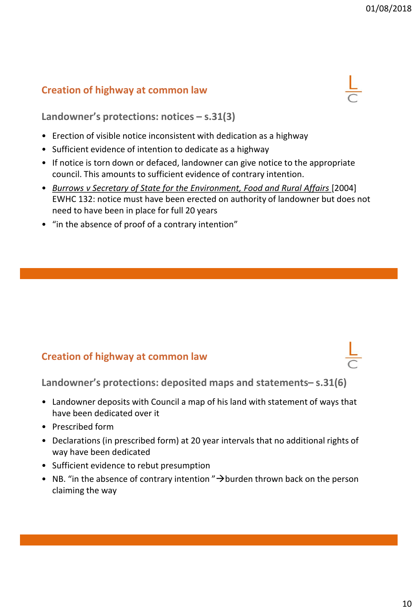

**Landowner's protections: notices – s.31(3)**

- Erection of visible notice inconsistent with dedication as a highway
- Sufficient evidence of intention to dedicate as a highway
- If notice is torn down or defaced, landowner can give notice to the appropriate council. This amounts to sufficient evidence of contrary intention.
- *Burrows v Secretary of State for the Environment, Food and Rural Affairs* [2004] EWHC 132: notice must have been erected on authority of landowner but does not need to have been in place for full 20 years
- "in the absence of proof of a contrary intention"

## **Creation of highway at common law**

**Landowner's protections: deposited maps and statements– s.31(6)**

- Landowner deposits with Council a map of his land with statement of ways that have been dedicated over it
- Prescribed form
- Declarations (in prescribed form) at 20 year intervals that no additional rights of way have been dedicated
- Sufficient evidence to rebut presumption
- NB. "in the absence of contrary intention " $\rightarrow$ burden thrown back on the person claiming the way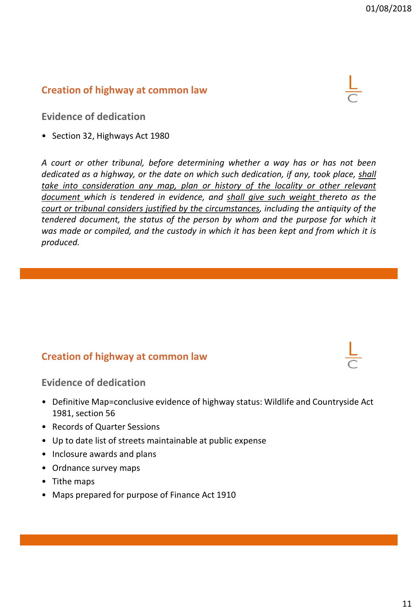**Evidence of dedication**

• Section 32, Highways Act 1980

*A court or other tribunal, before determining whether a way has or has not been dedicated as a highway, or the date on which such dedication, if any, took place, shall take into consideration any map, plan or history of the locality or other relevant document which is tendered in evidence, and shall give such weight thereto as the court or tribunal considers justified by the circumstances, including the antiquity of the tendered document, the status of the person by whom and the purpose for which it was made or compiled, and the custody in which it has been kept and from which it is produced.*

#### **Creation of highway at common law**

**Evidence of dedication**

- Definitive Map=conclusive evidence of highway status: Wildlife and Countryside Act 1981, section 56
- Records of Quarter Sessions
- Up to date list of streets maintainable at public expense
- Inclosure awards and plans
- Ordnance survey maps
- Tithe maps
- Maps prepared for purpose of Finance Act 1910